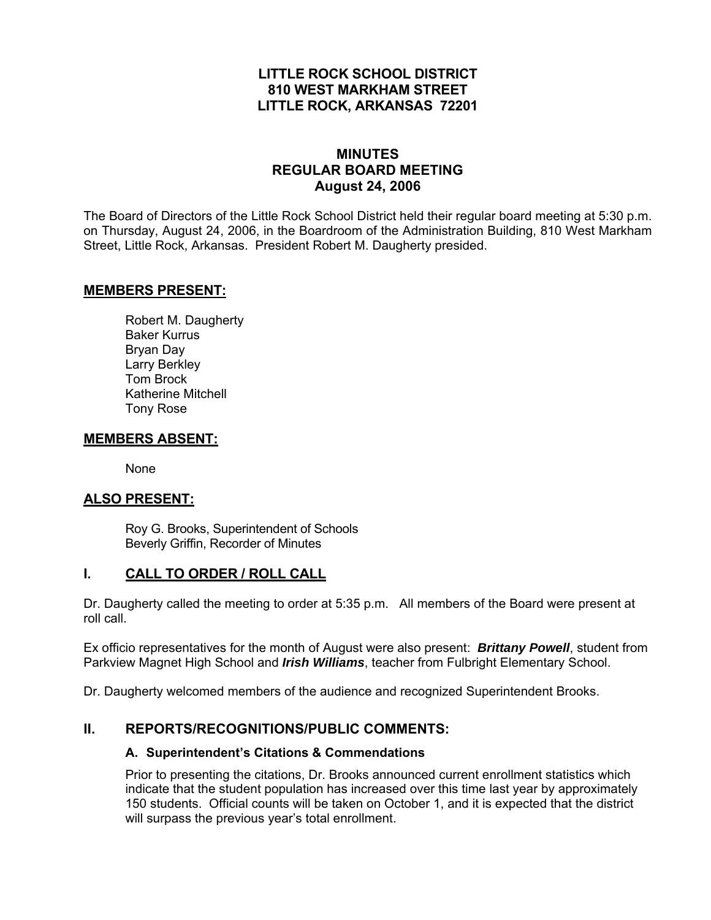## **LITTLE ROCK SCHOOL DISTRICT 810 WEST MARKHAM STREET LITTLE ROCK, ARKANSAS 72201**

## **MINUTES REGULAR BOARD MEETING August 24, 2006**

The Board of Directors of the Little Rock School District held their regular board meeting at 5:30 p.m. on Thursday, August 24, 2006, in the Boardroom of the Administration Building, 810 West Markham Street, Little Rock, Arkansas. President Robert M. Daugherty presided.

## **MEMBERS PRESENT:**

Robert M. Daugherty Baker Kurrus Bryan Day Larry Berkley Tom Brock Katherine Mitchell Tony Rose

### **MEMBERS ABSENT:**

None

## **ALSO PRESENT:**

 Roy G. Brooks, Superintendent of Schools Beverly Griffin, Recorder of Minutes

### **I. CALL TO ORDER / ROLL CALL**

Dr. Daugherty called the meeting to order at 5:35 p.m. All members of the Board were present at roll call.

Ex officio representatives for the month of August were also present: *Brittany Powell*, student from Parkview Magnet High School and *Irish Williams*, teacher from Fulbright Elementary School.

Dr. Daugherty welcomed members of the audience and recognized Superintendent Brooks.

### **II. REPORTS/RECOGNITIONS/PUBLIC COMMENTS:**

#### **A. Superintendent's Citations & Commendations**

Prior to presenting the citations, Dr. Brooks announced current enrollment statistics which indicate that the student population has increased over this time last year by approximately 150 students. Official counts will be taken on October 1, and it is expected that the district will surpass the previous year's total enrollment.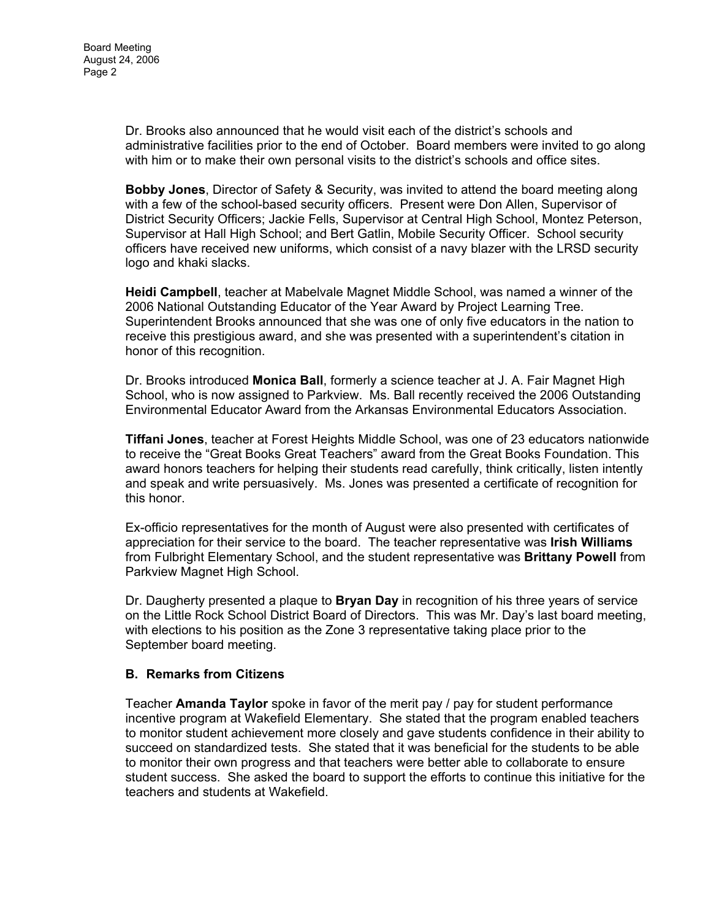Dr. Brooks also announced that he would visit each of the district's schools and administrative facilities prior to the end of October. Board members were invited to go along with him or to make their own personal visits to the district's schools and office sites.

**Bobby Jones**, Director of Safety & Security, was invited to attend the board meeting along with a few of the school-based security officers. Present were Don Allen, Supervisor of District Security Officers; Jackie Fells, Supervisor at Central High School, Montez Peterson, Supervisor at Hall High School; and Bert Gatlin, Mobile Security Officer. School security officers have received new uniforms, which consist of a navy blazer with the LRSD security logo and khaki slacks.

**Heidi Campbell**, teacher at Mabelvale Magnet Middle School, was named a winner of the 2006 National Outstanding Educator of the Year Award by Project Learning Tree. Superintendent Brooks announced that she was one of only five educators in the nation to receive this prestigious award, and she was presented with a superintendent's citation in honor of this recognition.

Dr. Brooks introduced **Monica Ball**, formerly a science teacher at J. A. Fair Magnet High School, who is now assigned to Parkview. Ms. Ball recently received the 2006 Outstanding Environmental Educator Award from the Arkansas Environmental Educators Association.

**Tiffani Jones**, teacher at Forest Heights Middle School, was one of 23 educators nationwide to receive the "Great Books Great Teachers" award from the Great Books Foundation. This award honors teachers for helping their students read carefully, think critically, listen intently and speak and write persuasively. Ms. Jones was presented a certificate of recognition for this honor.

Ex-officio representatives for the month of August were also presented with certificates of appreciation for their service to the board. The teacher representative was **Irish Williams** from Fulbright Elementary School, and the student representative was **Brittany Powell** from Parkview Magnet High School.

Dr. Daugherty presented a plaque to **Bryan Day** in recognition of his three years of service on the Little Rock School District Board of Directors. This was Mr. Day's last board meeting, with elections to his position as the Zone 3 representative taking place prior to the September board meeting.

### **B. Remarks from Citizens**

Teacher **Amanda Taylor** spoke in favor of the merit pay / pay for student performance incentive program at Wakefield Elementary. She stated that the program enabled teachers to monitor student achievement more closely and gave students confidence in their ability to succeed on standardized tests. She stated that it was beneficial for the students to be able to monitor their own progress and that teachers were better able to collaborate to ensure student success. She asked the board to support the efforts to continue this initiative for the teachers and students at Wakefield.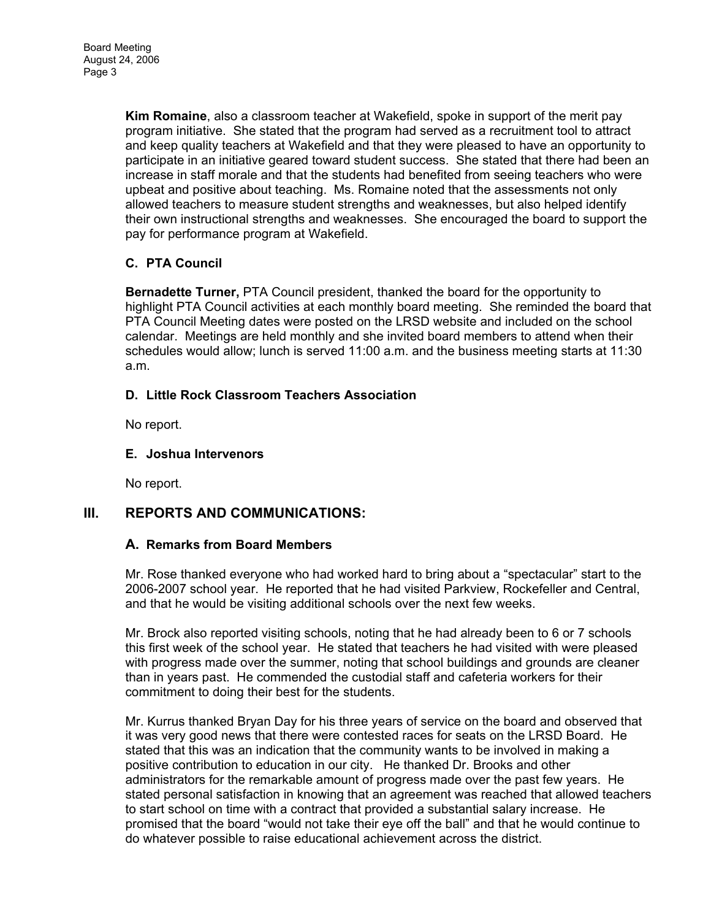**Kim Romaine**, also a classroom teacher at Wakefield, spoke in support of the merit pay program initiative. She stated that the program had served as a recruitment tool to attract and keep quality teachers at Wakefield and that they were pleased to have an opportunity to participate in an initiative geared toward student success. She stated that there had been an increase in staff morale and that the students had benefited from seeing teachers who were upbeat and positive about teaching. Ms. Romaine noted that the assessments not only allowed teachers to measure student strengths and weaknesses, but also helped identify their own instructional strengths and weaknesses. She encouraged the board to support the pay for performance program at Wakefield.

## **C. PTA Council**

**Bernadette Turner,** PTA Council president, thanked the board for the opportunity to highlight PTA Council activities at each monthly board meeting. She reminded the board that PTA Council Meeting dates were posted on the LRSD website and included on the school calendar. Meetings are held monthly and she invited board members to attend when their schedules would allow; lunch is served 11:00 a.m. and the business meeting starts at 11:30 a.m.

## **D. Little Rock Classroom Teachers Association**

No report.

## **E. Joshua Intervenors**

No report.

# **III. REPORTS AND COMMUNICATIONS:**

## **A. Remarks from Board Members**

Mr. Rose thanked everyone who had worked hard to bring about a "spectacular" start to the 2006-2007 school year. He reported that he had visited Parkview, Rockefeller and Central, and that he would be visiting additional schools over the next few weeks.

Mr. Brock also reported visiting schools, noting that he had already been to 6 or 7 schools this first week of the school year. He stated that teachers he had visited with were pleased with progress made over the summer, noting that school buildings and grounds are cleaner than in years past. He commended the custodial staff and cafeteria workers for their commitment to doing their best for the students.

Mr. Kurrus thanked Bryan Day for his three years of service on the board and observed that it was very good news that there were contested races for seats on the LRSD Board. He stated that this was an indication that the community wants to be involved in making a positive contribution to education in our city. He thanked Dr. Brooks and other administrators for the remarkable amount of progress made over the past few years. He stated personal satisfaction in knowing that an agreement was reached that allowed teachers to start school on time with a contract that provided a substantial salary increase. He promised that the board "would not take their eye off the ball" and that he would continue to do whatever possible to raise educational achievement across the district.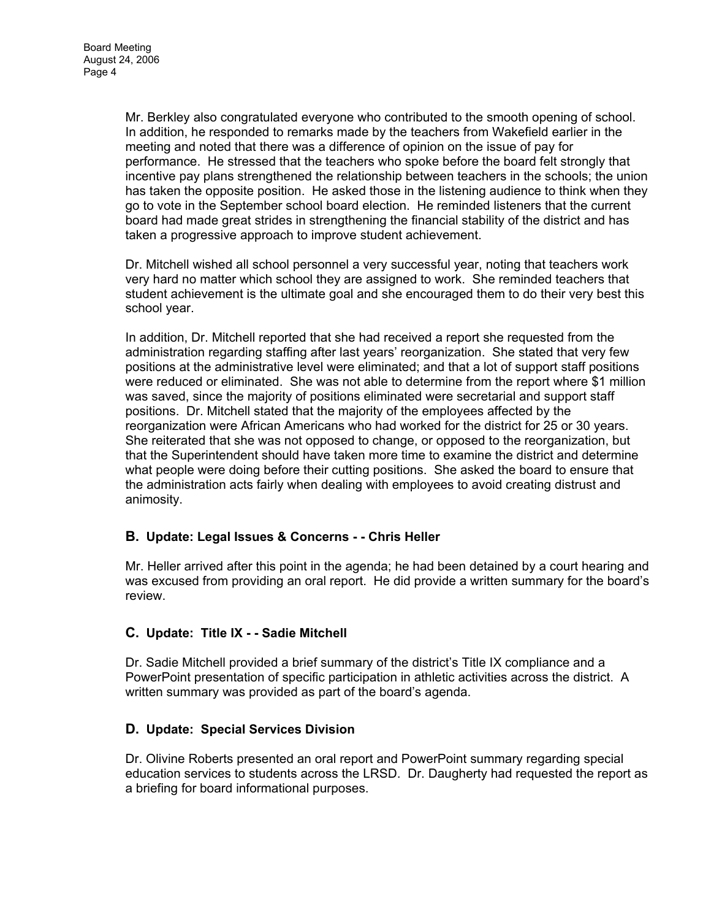Mr. Berkley also congratulated everyone who contributed to the smooth opening of school. In addition, he responded to remarks made by the teachers from Wakefield earlier in the meeting and noted that there was a difference of opinion on the issue of pay for performance. He stressed that the teachers who spoke before the board felt strongly that incentive pay plans strengthened the relationship between teachers in the schools; the union has taken the opposite position. He asked those in the listening audience to think when they go to vote in the September school board election. He reminded listeners that the current board had made great strides in strengthening the financial stability of the district and has taken a progressive approach to improve student achievement.

Dr. Mitchell wished all school personnel a very successful year, noting that teachers work very hard no matter which school they are assigned to work. She reminded teachers that student achievement is the ultimate goal and she encouraged them to do their very best this school year.

In addition, Dr. Mitchell reported that she had received a report she requested from the administration regarding staffing after last years' reorganization. She stated that very few positions at the administrative level were eliminated; and that a lot of support staff positions were reduced or eliminated. She was not able to determine from the report where \$1 million was saved, since the majority of positions eliminated were secretarial and support staff positions. Dr. Mitchell stated that the majority of the employees affected by the reorganization were African Americans who had worked for the district for 25 or 30 years. She reiterated that she was not opposed to change, or opposed to the reorganization, but that the Superintendent should have taken more time to examine the district and determine what people were doing before their cutting positions. She asked the board to ensure that the administration acts fairly when dealing with employees to avoid creating distrust and animosity.

### **B. Update: Legal Issues & Concerns - - Chris Heller**

Mr. Heller arrived after this point in the agenda; he had been detained by a court hearing and was excused from providing an oral report. He did provide a written summary for the board's review.

## **C. Update: Title IX - - Sadie Mitchell**

Dr. Sadie Mitchell provided a brief summary of the district's Title IX compliance and a PowerPoint presentation of specific participation in athletic activities across the district. A written summary was provided as part of the board's agenda.

### **D. Update: Special Services Division**

Dr. Olivine Roberts presented an oral report and PowerPoint summary regarding special education services to students across the LRSD. Dr. Daugherty had requested the report as a briefing for board informational purposes.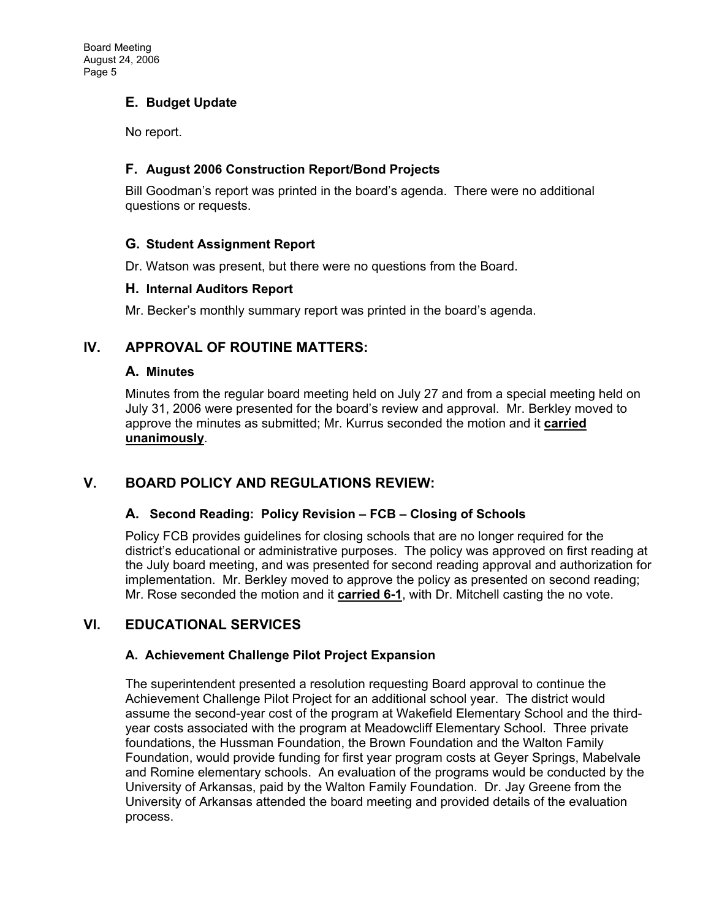## **E. Budget Update**

No report.

### **F. August 2006 Construction Report/Bond Projects**

Bill Goodman's report was printed in the board's agenda. There were no additional questions or requests.

### **G. Student Assignment Report**

Dr. Watson was present, but there were no questions from the Board.

### **H. Internal Auditors Report**

Mr. Becker's monthly summary report was printed in the board's agenda.

## **IV. APPROVAL OF ROUTINE MATTERS:**

### **A. Minutes**

Minutes from the regular board meeting held on July 27 and from a special meeting held on July 31, 2006 were presented for the board's review and approval. Mr. Berkley moved to approve the minutes as submitted; Mr. Kurrus seconded the motion and it **carried unanimously**.

# **V. BOARD POLICY AND REGULATIONS REVIEW:**

## **A. Second Reading: Policy Revision – FCB – Closing of Schools**

Policy FCB provides guidelines for closing schools that are no longer required for the district's educational or administrative purposes. The policy was approved on first reading at the July board meeting, and was presented for second reading approval and authorization for implementation. Mr. Berkley moved to approve the policy as presented on second reading; Mr. Rose seconded the motion and it **carried 6-1**, with Dr. Mitchell casting the no vote.

# **VI. EDUCATIONAL SERVICES**

## **A. Achievement Challenge Pilot Project Expansion**

The superintendent presented a resolution requesting Board approval to continue the Achievement Challenge Pilot Project for an additional school year. The district would assume the second-year cost of the program at Wakefield Elementary School and the thirdyear costs associated with the program at Meadowcliff Elementary School. Three private foundations, the Hussman Foundation, the Brown Foundation and the Walton Family Foundation, would provide funding for first year program costs at Geyer Springs, Mabelvale and Romine elementary schools. An evaluation of the programs would be conducted by the University of Arkansas, paid by the Walton Family Foundation. Dr. Jay Greene from the University of Arkansas attended the board meeting and provided details of the evaluation process.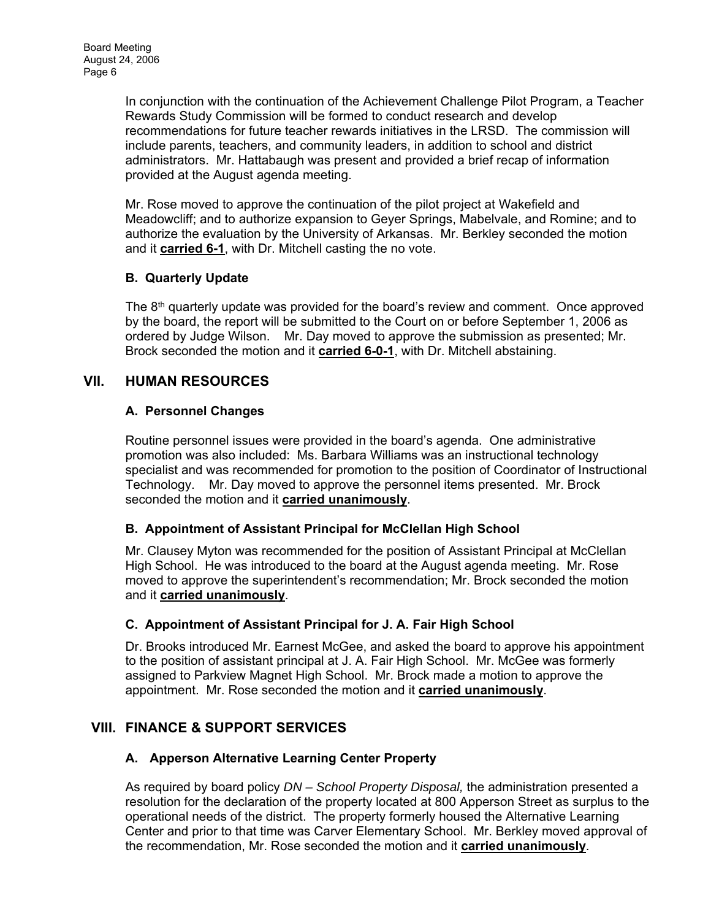In conjunction with the continuation of the Achievement Challenge Pilot Program, a Teacher Rewards Study Commission will be formed to conduct research and develop recommendations for future teacher rewards initiatives in the LRSD. The commission will include parents, teachers, and community leaders, in addition to school and district administrators. Mr. Hattabaugh was present and provided a brief recap of information provided at the August agenda meeting.

Mr. Rose moved to approve the continuation of the pilot project at Wakefield and Meadowcliff; and to authorize expansion to Geyer Springs, Mabelvale, and Romine; and to authorize the evaluation by the University of Arkansas. Mr. Berkley seconded the motion and it **carried 6-1**, with Dr. Mitchell casting the no vote.

## **B. Quarterly Update**

The  $8<sup>th</sup>$  quarterly update was provided for the board's review and comment. Once approved by the board, the report will be submitted to the Court on or before September 1, 2006 as ordered by Judge Wilson. Mr. Day moved to approve the submission as presented; Mr. Brock seconded the motion and it **carried 6-0-1**, with Dr. Mitchell abstaining.

## **VII. HUMAN RESOURCES**

### **A. Personnel Changes**

Routine personnel issues were provided in the board's agenda. One administrative promotion was also included: Ms. Barbara Williams was an instructional technology specialist and was recommended for promotion to the position of Coordinator of Instructional Technology. Mr. Day moved to approve the personnel items presented. Mr. Brock seconded the motion and it **carried unanimously**.

### **B. Appointment of Assistant Principal for McClellan High School**

Mr. Clausey Myton was recommended for the position of Assistant Principal at McClellan High School. He was introduced to the board at the August agenda meeting. Mr. Rose moved to approve the superintendent's recommendation; Mr. Brock seconded the motion and it **carried unanimously**.

### **C. Appointment of Assistant Principal for J. A. Fair High School**

Dr. Brooks introduced Mr. Earnest McGee, and asked the board to approve his appointment to the position of assistant principal at J. A. Fair High School. Mr. McGee was formerly assigned to Parkview Magnet High School. Mr. Brock made a motion to approve the appointment. Mr. Rose seconded the motion and it **carried unanimously**.

## **VIII. FINANCE & SUPPORT SERVICES**

## **A. Apperson Alternative Learning Center Property**

As required by board policy *DN – School Property Disposal,* the administration presented a resolution for the declaration of the property located at 800 Apperson Street as surplus to the operational needs of the district. The property formerly housed the Alternative Learning Center and prior to that time was Carver Elementary School. Mr. Berkley moved approval of the recommendation, Mr. Rose seconded the motion and it **carried unanimously**.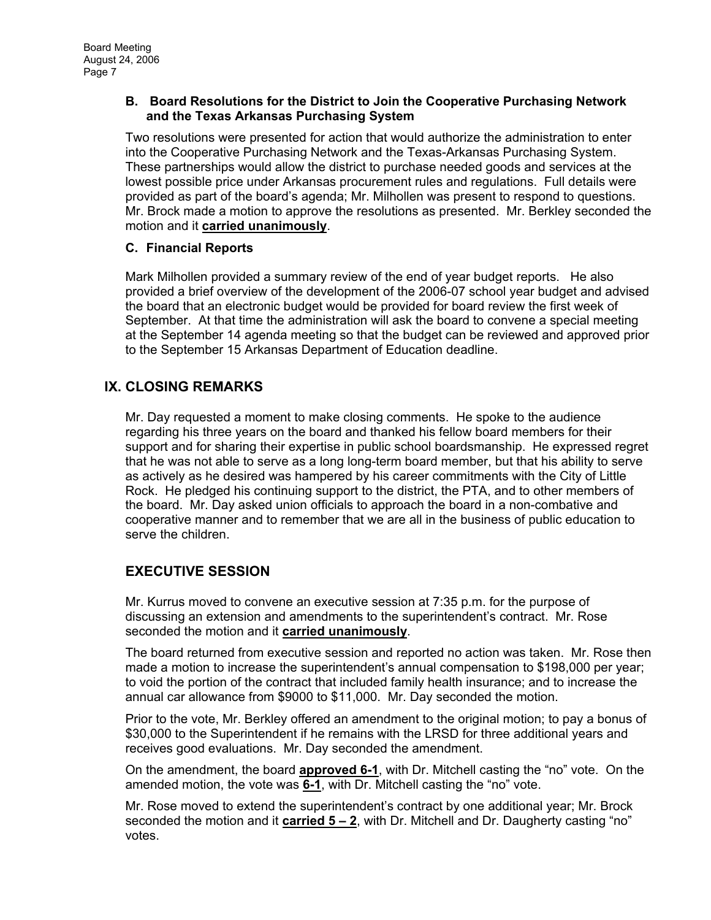#### **B. Board Resolutions for the District to Join the Cooperative Purchasing Network and the Texas Arkansas Purchasing System**

Two resolutions were presented for action that would authorize the administration to enter into the Cooperative Purchasing Network and the Texas-Arkansas Purchasing System. These partnerships would allow the district to purchase needed goods and services at the lowest possible price under Arkansas procurement rules and regulations. Full details were provided as part of the board's agenda; Mr. Milhollen was present to respond to questions. Mr. Brock made a motion to approve the resolutions as presented. Mr. Berkley seconded the motion and it **carried unanimously**.

### **C. Financial Reports**

Mark Milhollen provided a summary review of the end of year budget reports. He also provided a brief overview of the development of the 2006-07 school year budget and advised the board that an electronic budget would be provided for board review the first week of September. At that time the administration will ask the board to convene a special meeting at the September 14 agenda meeting so that the budget can be reviewed and approved prior to the September 15 Arkansas Department of Education deadline.

## **IX. CLOSING REMARKS**

Mr. Day requested a moment to make closing comments. He spoke to the audience regarding his three years on the board and thanked his fellow board members for their support and for sharing their expertise in public school boardsmanship. He expressed regret that he was not able to serve as a long long-term board member, but that his ability to serve as actively as he desired was hampered by his career commitments with the City of Little Rock. He pledged his continuing support to the district, the PTA, and to other members of the board. Mr. Day asked union officials to approach the board in a non-combative and cooperative manner and to remember that we are all in the business of public education to serve the children.

# **EXECUTIVE SESSION**

Mr. Kurrus moved to convene an executive session at 7:35 p.m. for the purpose of discussing an extension and amendments to the superintendent's contract. Mr. Rose seconded the motion and it **carried unanimously**.

The board returned from executive session and reported no action was taken. Mr. Rose then made a motion to increase the superintendent's annual compensation to \$198,000 per year; to void the portion of the contract that included family health insurance; and to increase the annual car allowance from \$9000 to \$11,000. Mr. Day seconded the motion.

Prior to the vote, Mr. Berkley offered an amendment to the original motion; to pay a bonus of \$30,000 to the Superintendent if he remains with the LRSD for three additional years and receives good evaluations. Mr. Day seconded the amendment.

On the amendment, the board **approved 6-1**, with Dr. Mitchell casting the "no" vote. On the amended motion, the vote was **6-1**, with Dr. Mitchell casting the "no" vote.

Mr. Rose moved to extend the superintendent's contract by one additional year; Mr. Brock seconded the motion and it **carried 5 – 2**, with Dr. Mitchell and Dr. Daugherty casting "no" votes.